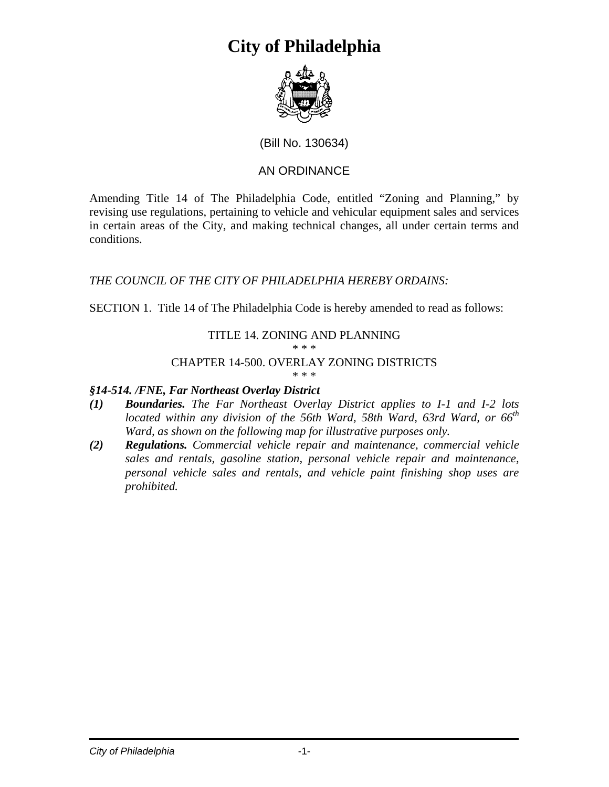# **City of Philadelphia**



## (Bill No. 130634)

# AN ORDINANCE

Amending Title 14 of The Philadelphia Code, entitled "Zoning and Planning," by revising use regulations, pertaining to vehicle and vehicular equipment sales and services in certain areas of the City, and making technical changes, all under certain terms and conditions.

### *THE COUNCIL OF THE CITY OF PHILADELPHIA HEREBY ORDAINS:*

SECTION 1. Title 14 of The Philadelphia Code is hereby amended to read as follows:

#### TITLE 14. ZONING AND PLANNING \* \* \*

# CHAPTER 14-500. OVERLAY ZONING DISTRICTS

#### \* \* \*

### *§14-514. /FNE, Far Northeast Overlay District*

- *(1) Boundaries. The Far Northeast Overlay District applies to I-1 and I-2 lots located within any division of the 56th Ward, 58th Ward, 63rd Ward, or 66th Ward, as shown on the following map for illustrative purposes only.*
- *(2) Regulations. Commercial vehicle repair and maintenance, commercial vehicle sales and rentals, gasoline station, personal vehicle repair and maintenance, personal vehicle sales and rentals, and vehicle paint finishing shop uses are prohibited.*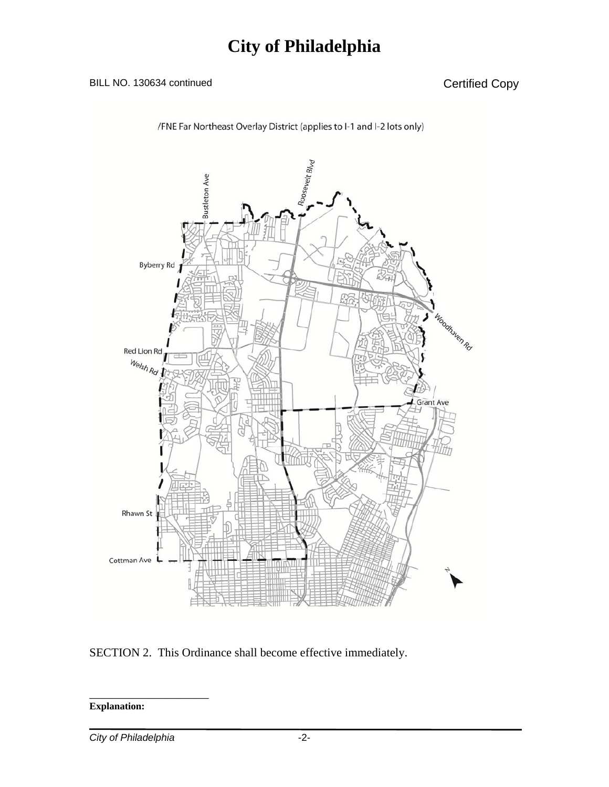# BILL NO. 130634 continued Certified Copy



SECTION 2. This Ordinance shall become effective immediately.

**Explanation:** 

*City of Philadelphia* -2-

\_\_\_\_\_\_\_\_\_\_\_\_\_\_\_\_\_\_\_\_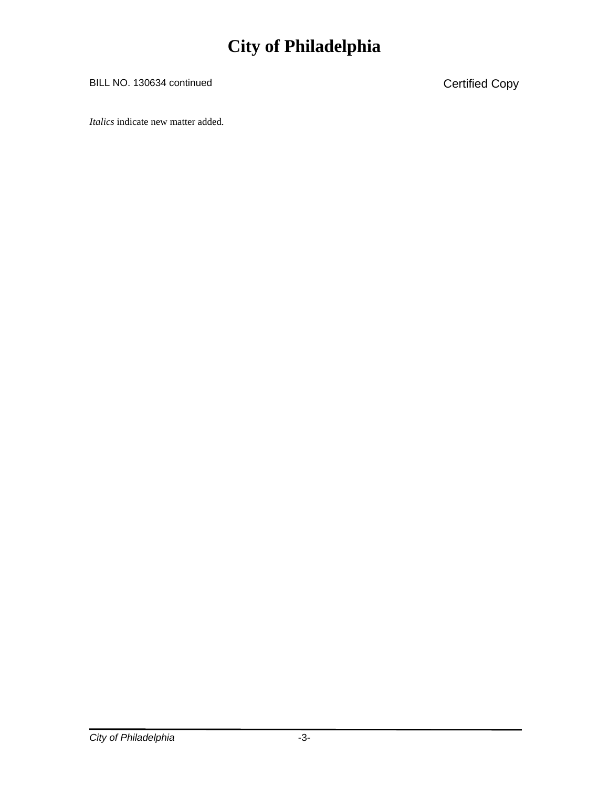# **City of Philadelphia**

BILL NO. 130634 continued Certified Copy

*Italics* indicate new matter added.